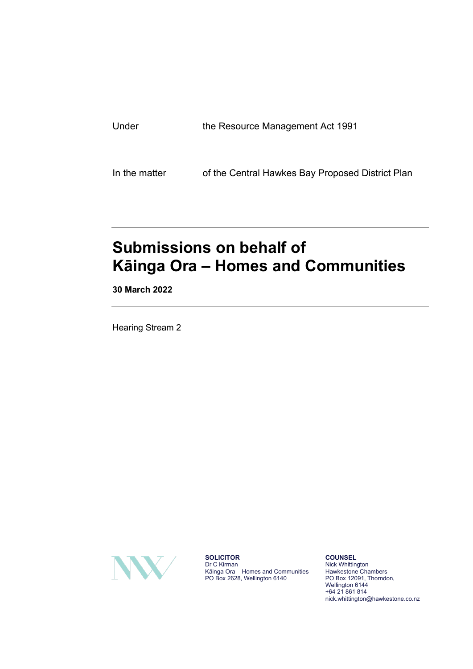| Under | the Resource Management Act 1991 |
|-------|----------------------------------|
|       |                                  |

In the matter of the Central Hawkes Bay Proposed District Plan

## **Submissions on behalf of Kāinga Ora – Homes and Communities**

**30 March 2022**

Hearing Stream 2



**SOLICITOR** Dr C Kirman Kāinga Ora – Homes and Communities PO Box 2628, Wellington 6140

**COUNSEL** Nick Whittington Hawkestone Chambers PO Box 12091, Thorndon, Wellington 6144 +64 21 861 814 nick.whittington@hawkestone.co.nz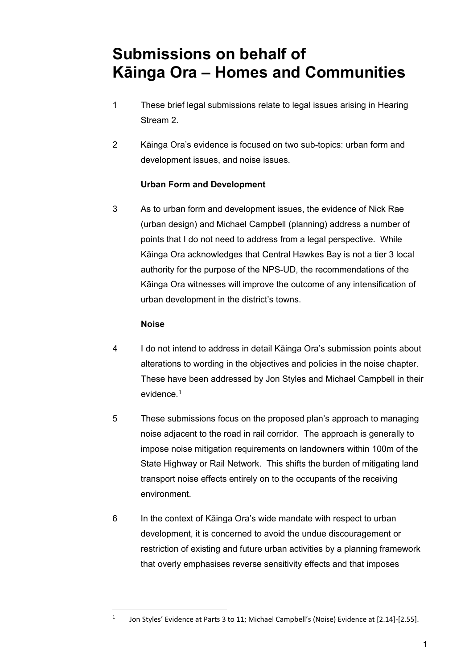## **Submissions on behalf of Kāinga Ora – Homes and Communities**

- 1 These brief legal submissions relate to legal issues arising in Hearing Stream 2.
- 2 Kāinga Ora's evidence is focused on two sub-topics: urban form and development issues, and noise issues.

## **Urban Form and Development**

3 As to urban form and development issues, the evidence of Nick Rae (urban design) and Michael Campbell (planning) address a number of points that I do not need to address from a legal perspective. While Kāinga Ora acknowledges that Central Hawkes Bay is not a tier 3 local authority for the purpose of the NPS-UD, the recommendations of the Kāinga Ora witnesses will improve the outcome of any intensification of urban development in the district's towns.

## **Noise**

- 4 I do not intend to address in detail Kāinga Ora's submission points about alterations to wording in the objectives and policies in the noise chapter. These have been addressed by Jon Styles and Michael Campbell in their evidence.<sup>[1](#page-1-0)</sup>
- 5 These submissions focus on the proposed plan's approach to managing noise adjacent to the road in rail corridor. The approach is generally to impose noise mitigation requirements on landowners within 100m of the State Highway or Rail Network. This shifts the burden of mitigating land transport noise effects entirely on to the occupants of the receiving environment.
- 6 In the context of Kāinga Ora's wide mandate with respect to urban development, it is concerned to avoid the undue discouragement or restriction of existing and future urban activities by a planning framework that overly emphasises reverse sensitivity effects and that imposes

<span id="page-1-0"></span><sup>&</sup>lt;sup>1</sup> Jon Styles' Evidence at Parts 3 to 11; Michael Campbell's (Noise) Evidence at [2.14]-[2.55].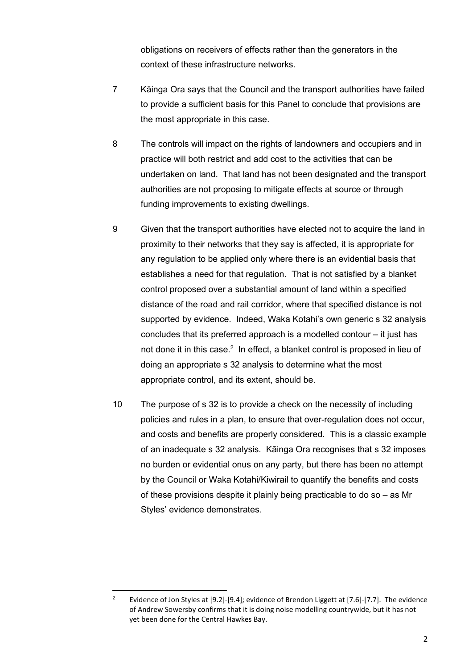obligations on receivers of effects rather than the generators in the context of these infrastructure networks.

- 7 Kāinga Ora says that the Council and the transport authorities have failed to provide a sufficient basis for this Panel to conclude that provisions are the most appropriate in this case.
- 8 The controls will impact on the rights of landowners and occupiers and in practice will both restrict and add cost to the activities that can be undertaken on land. That land has not been designated and the transport authorities are not proposing to mitigate effects at source or through funding improvements to existing dwellings.
- 9 Given that the transport authorities have elected not to acquire the land in proximity to their networks that they say is affected, it is appropriate for any regulation to be applied only where there is an evidential basis that establishes a need for that regulation. That is not satisfied by a blanket control proposed over a substantial amount of land within a specified distance of the road and rail corridor, where that specified distance is not supported by evidence. Indeed, Waka Kotahi's own generic s 32 analysis concludes that its preferred approach is a modelled contour – it just has not done it in this case. $^{\rm 2}$  In effect, a blanket control is proposed in lieu of doing an appropriate s 32 analysis to determine what the most appropriate control, and its extent, should be.
- 10 The purpose of s 32 is to provide a check on the necessity of including policies and rules in a plan, to ensure that over-regulation does not occur, and costs and benefits are properly considered. This is a classic example of an inadequate s 32 analysis. Kāinga Ora recognises that s 32 imposes no burden or evidential onus on any party, but there has been no attempt by the Council or Waka Kotahi/Kiwirail to quantify the benefits and costs of these provisions despite it plainly being practicable to do so – as Mr Styles' evidence demonstrates.

<span id="page-2-0"></span>Evidence of Jon Styles at [9.2]-[9.4]; evidence of Brendon Liggett at [7.6]-[7.7]. The evidence of Andrew Sowersby confirms that it is doing noise modelling countrywide, but it has not yet been done for the Central Hawkes Bay.